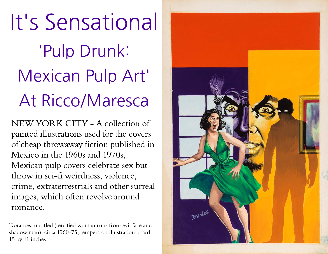It's Sensational 'Pulp Drunk: Mexican Pulp Art' At Ricco/Maresca

NEW YORK CITY - A collection of painted illustrations used for the covers of cheap throwaway fiction published in Mexico in the 1960s and 1970s, Mexican pulp covers celebrate sex but throw in sci-fi weirdness, violence, crime, extraterrestrials and other surreal images, which often revolve around romance.

Dorantes, untitled (terrified woman runs from evil face and shadow man), circa 1960-75, tempera on illustration board, 15 by 11 inches.

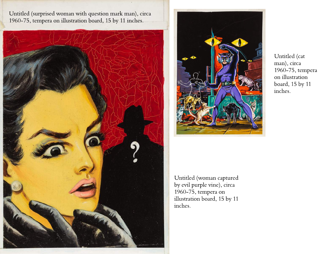Untitled (surprised woman with question mark man), circa 1960-75, tempera on illustration board, 15 by 11 inches.





Untitled (cat man), circa 1960-75, tempera on illustration board, 15 by 11 inches.

Untitled (woman captured by evil purple vine), circa 1960-75, tempera on illustration board, 15 by 11 inches.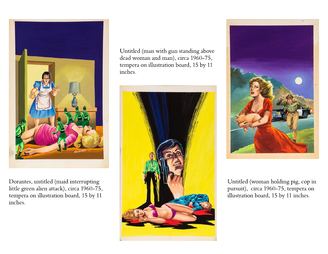

Dorantes, untitled (maid interrupting little green alien attack), circa 1960-75, tempera on illustration board, 15 by 11 inches.

Untitled (man with gun standing above dead woman and man), circa 1960-75, tempera on illustration board, 15 by 11 inches.





Untitled (woman holding pig, cop in pursuit), circa 1960-75, tempera on illustration board, 15 by 11 inches.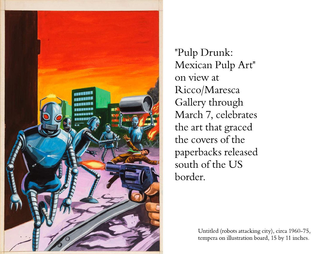

"Pulp Drunk: Mexican Pulp Art" on view at Ricco/Maresca Gallery through March 7, celebrates the art that graced the covers of the paperbacks released south of the US border.

> Untitled (robots attacking city), circa 1960-75, tempera on illustration board, 15 by 11 inches.